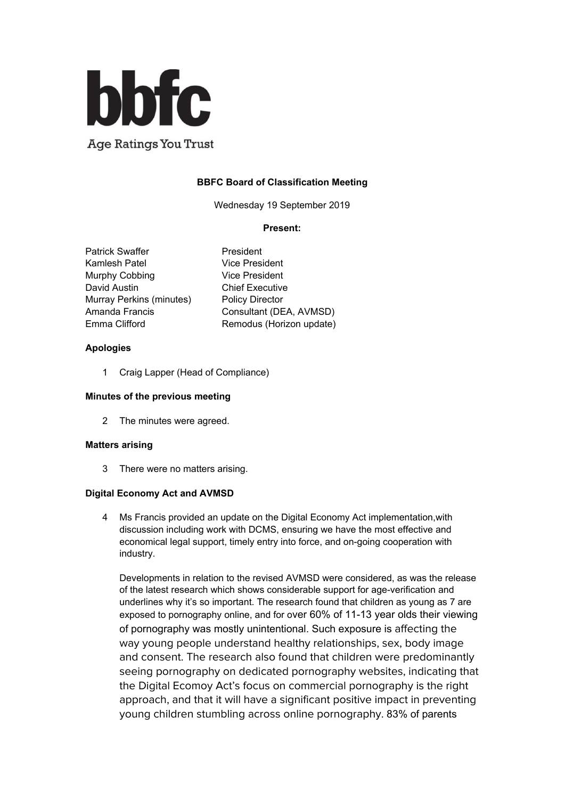

# **BBFC Board of Classification Meeting**

Wednesday 19 September 2019

### **Present:**

Patrick Swaffer President Kamlesh Patel Vice President Murphy Cobbing Vice President David Austin **Chief Executive** Murray Perkins (minutes) Policy Director

Amanda Francis Consultant (DEA, AVMSD) Emma Clifford **Remodus** (Horizon update)

## **Apologies**

1 Craig Lapper (Head of Compliance)

### **Minutes of the previous meeting**

2 The minutes were agreed.

#### **Matters arising**

3 There were no matters arising.

## **Digital Economy Act and AVMSD**

4 Ms Francis provided an update on the Digital Economy Act implementation,with discussion including work with DCMS, ensuring we have the most effective and economical legal support, timely entry into force, and on-going cooperation with industry.

Developments in relation to the revised AVMSD were considered, as was the release of the latest research which shows considerable support for age-verification and underlines why it's so important. The research found that children as young as 7 are exposed to pornography online, and for over 60% of 11-13 year olds their viewing of pornography was mostly unintentional. Such exposure is affecting the way young people understand healthy relationships, sex, body image and consent. The research also found that children were predominantly seeing pornography on dedicated pornography websites, indicating that the Digital Ecomoy Act's focus on commercial pornography is the right approach, and that it will have a significant positive impact in preventing young children stumbling across online pornography. 83% of parents